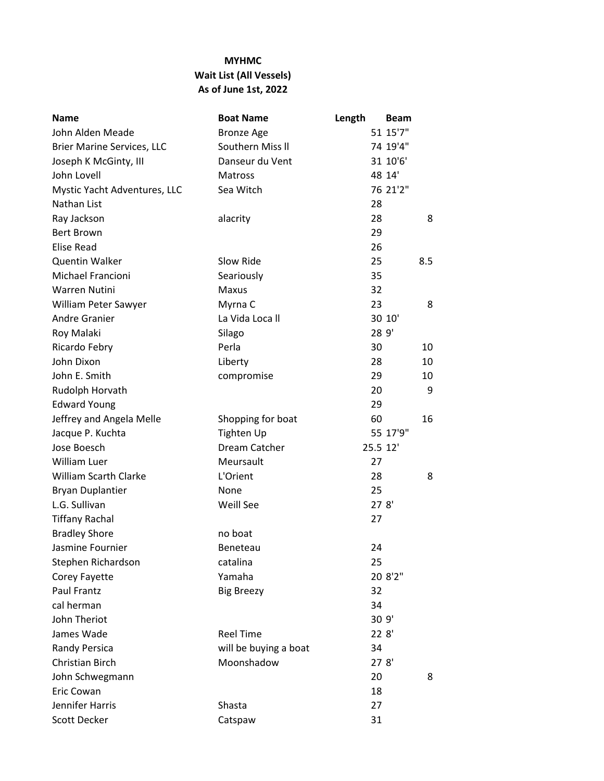## **MYHMC Wait List (All Vessels) As of June 1st, 2022**

| <b>Name</b>                  | <b>Boat Name</b>      | Length   | Beam     |
|------------------------------|-----------------------|----------|----------|
| John Alden Meade             | <b>Bronze Age</b>     |          | 51 15'7" |
| Brier Marine Services, LLC   | Southern Miss II      |          | 74 19'4" |
| Joseph K McGinty, III        | Danseur du Vent       |          | 31 10'6' |
| John Lovell                  | <b>Matross</b>        |          | 48 14'   |
| Mystic Yacht Adventures, LLC | Sea Witch             |          | 76 21'2" |
| Nathan List                  |                       | 28       |          |
| Ray Jackson                  | alacrity              | 28       | 8        |
| <b>Bert Brown</b>            |                       | 29       |          |
| <b>Elise Read</b>            |                       | 26       |          |
| <b>Quentin Walker</b>        | Slow Ride             | 25       | 8.5      |
| Michael Francioni            | Seariously            | 35       |          |
| <b>Warren Nutini</b>         | Maxus                 | 32       |          |
| William Peter Sawyer         | Myrna C               | 23       | 8        |
| <b>Andre Granier</b>         | La Vida Loca II       |          | 30 10'   |
| Roy Malaki                   | Silago                |          | 28 9'    |
| Ricardo Febry                | Perla                 | 30       | 10       |
| John Dixon                   | Liberty               | 28       | 10       |
| John E. Smith                | compromise            | 29       | 10       |
| Rudolph Horvath              |                       | 20       | 9        |
| <b>Edward Young</b>          |                       | 29       |          |
| Jeffrey and Angela Melle     | Shopping for boat     | 60       | 16       |
| Jacque P. Kuchta             | <b>Tighten Up</b>     |          | 55 17'9" |
| Jose Boesch                  | Dream Catcher         | 25.5 12' |          |
| <b>William Luer</b>          | Meursault             | 27       |          |
| <b>William Scarth Clarke</b> | L'Orient              | 28       | 8        |
| <b>Bryan Duplantier</b>      | None                  | 25       |          |
| L.G. Sullivan                | Weill See             |          | 278'     |
| <b>Tiffany Rachal</b>        |                       | 27       |          |
| <b>Bradley Shore</b>         | no boat               |          |          |
| Jasmine Fournier             | Beneteau              | 24       |          |
| Stephen Richardson           | catalina              | 25       |          |
| Corey Fayette                | Yamaha                |          | 20 8'2"  |
| Paul Frantz                  | <b>Big Breezy</b>     | 32       |          |
| cal herman                   |                       | 34       |          |
| John Theriot                 |                       |          | 30 9'    |
| James Wade                   | <b>Reel Time</b>      |          | 228'     |
| Randy Persica                | will be buying a boat | 34       |          |
| Christian Birch              | Moonshadow            |          | 278'     |
| John Schwegmann              |                       | 20       | 8        |
| Eric Cowan                   |                       | 18       |          |
| Jennifer Harris              | Shasta                | 27       |          |
| Scott Decker                 | Catspaw               | 31       |          |